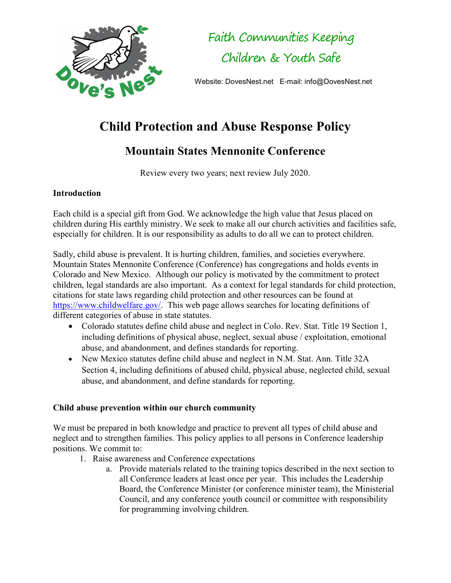

Faith Communities Keeping Children & Youth Safe

Website: DovesNest.net E-mail: info@DovesNest.net

## Child Protection and Abuse Response Policy

## Mountain States Mennonite Conference

Review every two years; next review July 2020.

## **Introduction**

Each child is a special gift from God. We acknowledge the high value that Jesus placed on children during His earthly ministry. We seek to make all our church activities and facilities safe, especially for children. It is our responsibility as adults to do all we can to protect children.

Sadly, child abuse is prevalent. It is hurting children, families, and societies everywhere. Mountain States Mennonite Conference (Conference) has congregations and holds events in Colorado and New Mexico. Although our policy is motivated by the commitment to protect children, legal standards are also important. As a context for legal standards for child protection, citations for state laws regarding child protection and other resources can be found at https://www.childwelfare.gov/. This web page allows searches for locating definitions of different categories of abuse in state statutes.

- Colorado statutes define child abuse and neglect in Colo. Rev. Stat. Title 19 Section 1, including definitions of physical abuse, neglect, sexual abuse / exploitation, emotional abuse, and abandonment, and defines standards for reporting.
- New Mexico statutes define child abuse and neglect in N.M. Stat. Ann. Title 32A Section 4, including definitions of abused child, physical abuse, neglected child, sexual abuse, and abandonment, and define standards for reporting.

## Child abuse prevention within our church community

We must be prepared in both knowledge and practice to prevent all types of child abuse and neglect and to strengthen families. This policy applies to all persons in Conference leadership positions. We commit to:

- 1. Raise awareness and Conference expectations
	- a. Provide materials related to the training topics described in the next section to all Conference leaders at least once per year. This includes the Leadership Board, the Conference Minister (or conference minister team), the Ministerial Council, and any conference youth council or committee with responsibility for programming involving children.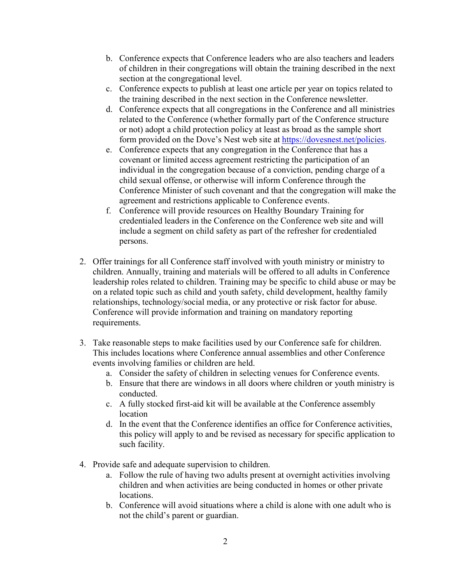- b. Conference expects that Conference leaders who are also teachers and leaders of children in their congregations will obtain the training described in the next section at the congregational level.
- c. Conference expects to publish at least one article per year on topics related to the training described in the next section in the Conference newsletter.
- d. Conference expects that all congregations in the Conference and all ministries related to the Conference (whether formally part of the Conference structure or not) adopt a child protection policy at least as broad as the sample short form provided on the Dove's Nest web site at https://dovesnest.net/policies.
- e. Conference expects that any congregation in the Conference that has a covenant or limited access agreement restricting the participation of an individual in the congregation because of a conviction, pending charge of a child sexual offense, or otherwise will inform Conference through the Conference Minister of such covenant and that the congregation will make the agreement and restrictions applicable to Conference events.
- f. Conference will provide resources on Healthy Boundary Training for credentialed leaders in the Conference on the Conference web site and will include a segment on child safety as part of the refresher for credentialed persons.
- 2. Offer trainings for all Conference staff involved with youth ministry or ministry to children. Annually, training and materials will be offered to all adults in Conference leadership roles related to children. Training may be specific to child abuse or may be on a related topic such as child and youth safety, child development, healthy family relationships, technology/social media, or any protective or risk factor for abuse. Conference will provide information and training on mandatory reporting requirements.
- 3. Take reasonable steps to make facilities used by our Conference safe for children. This includes locations where Conference annual assemblies and other Conference events involving families or children are held.
	- a. Consider the safety of children in selecting venues for Conference events.
	- b. Ensure that there are windows in all doors where children or youth ministry is conducted.
	- c. A fully stocked first-aid kit will be available at the Conference assembly location
	- d. In the event that the Conference identifies an office for Conference activities, this policy will apply to and be revised as necessary for specific application to such facility.
- 4. Provide safe and adequate supervision to children.
	- a. Follow the rule of having two adults present at overnight activities involving children and when activities are being conducted in homes or other private locations.
	- b. Conference will avoid situations where a child is alone with one adult who is not the child's parent or guardian.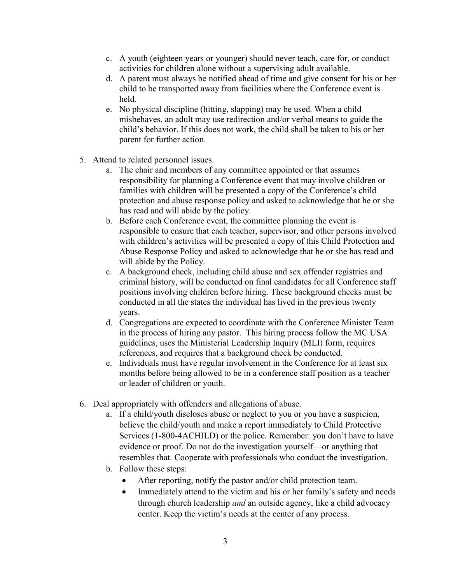- c. A youth (eighteen years or younger) should never teach, care for, or conduct activities for children alone without a supervising adult available.
- d. A parent must always be notified ahead of time and give consent for his or her child to be transported away from facilities where the Conference event is held.
- e. No physical discipline (hitting, slapping) may be used. When a child misbehaves, an adult may use redirection and/or verbal means to guide the child's behavior. If this does not work, the child shall be taken to his or her parent for further action.
- 5. Attend to related personnel issues.
	- a. The chair and members of any committee appointed or that assumes responsibility for planning a Conference event that may involve children or families with children will be presented a copy of the Conference's child protection and abuse response policy and asked to acknowledge that he or she has read and will abide by the policy.
	- b. Before each Conference event, the committee planning the event is responsible to ensure that each teacher, supervisor, and other persons involved with children's activities will be presented a copy of this Child Protection and Abuse Response Policy and asked to acknowledge that he or she has read and will abide by the Policy.
	- c. A background check, including child abuse and sex offender registries and criminal history, will be conducted on final candidates for all Conference staff positions involving children before hiring. These background checks must be conducted in all the states the individual has lived in the previous twenty years.
	- d. Congregations are expected to coordinate with the Conference Minister Team in the process of hiring any pastor. This hiring process follow the MC USA guidelines, uses the Ministerial Leadership Inquiry (MLI) form, requires references, and requires that a background check be conducted.
	- e. Individuals must have regular involvement in the Conference for at least six months before being allowed to be in a conference staff position as a teacher or leader of children or youth.
- 6. Deal appropriately with offenders and allegations of abuse.
	- a. If a child/youth discloses abuse or neglect to you or you have a suspicion, believe the child/youth and make a report immediately to Child Protective Services (1-800-4ACHILD) or the police. Remember: you don't have to have evidence or proof. Do not do the investigation yourself—or anything that resembles that. Cooperate with professionals who conduct the investigation.
	- b. Follow these steps:
		- After reporting, notify the pastor and/or child protection team.
		- Immediately attend to the victim and his or her family's safety and needs through church leadership and an outside agency, like a child advocacy center. Keep the victim's needs at the center of any process.